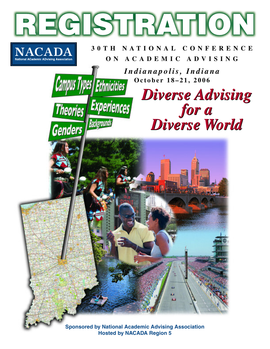

**Hosted by NACADA Region 5**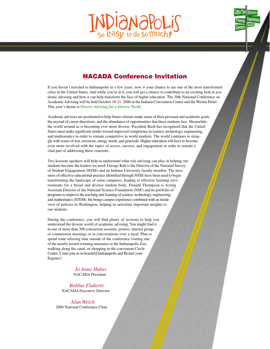# easy to do so Much!



If you haven't traveled to Indianapolis in a few years, now is your chance to see one of the most transformed cities in the United States. And while you're at it, you will get a chance to contribute to an exciting look at academic advising and how it can help transform the face of higher education. The 30th National Conference on Academic Advising will be held October 18-21, 2006 in the Indiana Convention Center and the Westin Hotel. This year's theme is *Diverse Advising for a Diverse World*.

Academic advisors are positioned to help future citizens make sense of their personal and academic goals, the myriad of career directions, and the abundance of opportunities that these students face. Meanwhile, the world around us is becoming ever more diverse. President Bush has recognized that the United States must make significant strides toward improved competence in science, technology, engineering, and mathematics in order to remain competitive in world markets. The world continues to struggle with issues of war, terrorism, energy needs, and genocide. Higher education will have to become even more involved with the topics of access, success, and engagement in order to remain a vital part of addressing these concerns.

Two keynote speakers will help us understand what role advising can play in helping our students become the leaders we need. George Kuh is the Director of the National Survey of Student Engagement (NSSE) and an Indiana University faculty member. The measures of effective educational practice identified through NSSE have been used to begin transforming the landscape of some campuses, leading to effective learning environments for a broad and diverse student body. Donald Thompson is Acting Assistant Director of the National Science Foundation (NSF) and its portfolio of programs to improve the teaching and learning of science, technology, engineering, and mathematics (STEM). He brings campus experience combined with an inside view of policies in Washington, helping us articulate important insights to our students.

During the conference, you will find plenty of sessions to help you understand the diverse world of academic advising. You might find it in one of more than 300 concurrent sessions, posters, interest group, or commission meetings or in conversations over a meal. Plan to spend some relaxing time outside of the conference visiting one of the nearby award-winning museums or the Indianapolis Zoo, walking along the canal, or shopping in the convenient Circle Centre. Come join us in beautiful Indianapolis and Restart your Engines!

> *Jo Anne Huber* NACADA President

*Bobbie Flaherty* NACADA Executive Director

*Alan Welch* 2006 National Conference Chair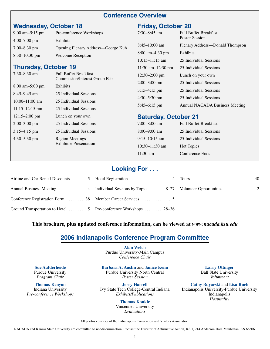## **Conference Overview**

# **Wednesday, October 18**

| $9:00 \text{ am} - 5:15 \text{ pm}$ | Pre-conference Workshops           |
|-------------------------------------|------------------------------------|
| $4:00-7:00$ pm                      | Exhibits                           |
| $7:00-8:30$ pm                      | Opening Plenary Address—George Kuh |
| $8:30-10:30$ pm                     | <b>Welcome Reception</b>           |

## **Thursday, October 19**

| $7:30 - 8:30$ am                  | <b>Full Buffet Breakfast</b><br><b>Commission/Interest Group Fair</b> |
|-----------------------------------|-----------------------------------------------------------------------|
| $8:00 \text{ am}-5:00 \text{ pm}$ | Exhibits                                                              |
| $8:45-9:45$ am                    | 25 Individual Sessions                                                |
| $10:00-11:00$ am                  | 25 Individual Sessions                                                |
| $11:15 - 12:15$ pm                | 25 Individual Sessions                                                |
| $12:15 - 2:00$ pm                 | Lunch on your own                                                     |
| $2:00-3:00$ pm                    | 25 Individual Sessions                                                |
| $3:15-4:15$ pm                    | 25 Individual Sessions                                                |
| $4:30-5:30$ pm                    | <b>Region Meetings</b><br><b>Exhibitor Presentation</b>               |
|                                   |                                                                       |

## **Friday, October 20**

| $7:30 - 8:45$ am                    | <b>Full Buffet Breakfast</b><br>Poster Session |
|-------------------------------------|------------------------------------------------|
| $8:45-10:00$ am                     | Plenary Address—Donald Thompson                |
| $8:00 \text{ am} - 4:30 \text{ pm}$ | Exhibits                                       |
| $10:15-11:15$ am                    | 25 Individual Sessions                         |
| 11:30 am $-12:30$ pm                | 25 Individual Sessions                         |
| $12:30 - 2:00$ pm                   | Lunch on your own                              |
| $2:00-3:00$ pm                      | 25 Individual Sessions                         |
| $3:15-4:15$ pm                      | 25 Individual Sessions                         |
| $4:30 - 5:30$ pm                    | 25 Individual Sessions                         |
| $5:45-6:15$ pm                      | Annual NACADA Business Meeting                 |

## **Saturday, October 21**

| 7:00–8:00 am       | <b>Full Buffet Breakfast</b> |
|--------------------|------------------------------|
| 8:00–9:00 am       | 25 Individual Sessions       |
| 9:15–10:15 am      | 25 Individual Sessions       |
| $10:30-11:30$ am   | <b>Hot Topics</b>            |
| $11:30 \text{ am}$ | Conference Ends              |

## **Looking For . . .**

| Ground Transportation to Hotel  5 Pre-conference Workshops  28–36 |  |
|-------------------------------------------------------------------|--|

### **This brochure, plus updated conference information, can be viewed at** *www.nacada.ksu.edu*

## **2006 Indianapolis Conference Program Committee**

**Alan Welch** Purdue University-Main Campus *Conference Chair*

**Barbara A. Austin** and **Janice Keim** Purdue University North Central *Poster Session*

**Jerry Harrell** Ivy State Tech College-Central Indiana *Exhibits/Publications*

> **Thomas Konkle** Vincennes University *Evaluations*

**Larry Ottinger** Ball State University *Volunteers*

**Cathy Buyarski** and **Lisa Ruch** Indianapolis University-Purdue University Indianapolis *Hospitality*

**Sue Aufderheide** Purdue University *Program Chair*

**Thomas Kenyon** Indiana University *Pre-conference Workshops*

All photos courtesy of the Indianapolis Convention and Visitors Association.

NACADA and Kansas State University are committed to nondiscrimination. Contact the Director of Affirmative Action, KSU, 214 Anderson Hall, Manhattan, KS 66506.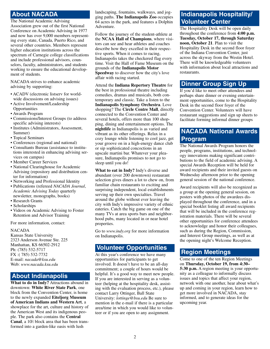# **About NACADA**

The National Academic Advising Association grew out of the first National Conference on Academic Advising in 1977 and now has over 9,000 members representing every state, Canada, Puerto Rico, and several other countries. Members represent higher education institutions across the spectrum of Carnegie college classifications and include professional advisors, counselors, faculty, administrators, and students working to ensure the educational development of students.

NACADA strives to enhance academic advising by supporting:

- ACADV (electronic listserv for worldwide discussions on advising issues)
- Active Involvement/Leadership Opportunities
- Awards Program
- Commissions/Interest Groups (to address specific advising interests)
- Institutes (Administrators, Assessment, Summer)
- Topical Seminars
- Conferences (regional and national)
- Consultants Bureau (assistance to institutions interested in enhancing advising services on campus)
- Member Career Services
- National Clearinghouse for Academic Advising (repository and distribution center for information)
- Networking and Professional Identity
- Publications (refereed *NACADA Journal*, *Academic Advising Today* quarterly newsletter, monographs, books)
- Research Grants
- Scholarships
- Videos on Academic Advising to Foster Retention and Advisor Training

For more information, contact:

#### NACADA

Kansas State University 2323 Anderson Avenue Ste. 225 Manhattan, KS 66502-2912 Ph: (785) 532-5717 FX :( 785) 532-7732 E-mail: *nacada@ksu.edu* Web: *www.nacada.ksu.edu*

# **About Indianapolis**

**What to do in Indy?** Attractions abound in downtown: **White River State Park**, one block from the Convention Center, is home to the newly expanded **Eiteljorg Museum of American Indians and Western Art**, a showplace for the art, culture and history of the American West and its indigenous people. The park also contains the **Central** Canal, a 10<sup>½</sup> block area that has been transformed into a garden-like oasis with lush

landscaping, fountains, walkways, and jogging paths. **The Indianapolis Zoo** occupies 64 acres in the park, and features a Dolphin Adventure.

Follow the journey of the student-athlete at the **NCAA Hall of Champions**, where visitors can see and hear athletes and coaches describe how they excelled in their respective sports. When it comes to racing, Indianapolis takes the checkered flag every time. Visit the Hall of Fame Museum on the grounds of the **Indianapolis Motor Speedway** to discover how the city's love affair with racing started.

Attend the **Indiana Repertory Theatre** for the best in professional theatre including comedies, dramas and musicals, both contemporary and classic. Take a listen to the **Indianapolis Symphony Orchestra**. Love shopping? The **Circle Centre Mall**, directly connected to the Convention Center and several hotels, offers more than 100 shopping, dining and entertainment options. The **nightlife** in Indianapolis is as varied and vibrant as its other offerings. Relax in a cozy lounge while listening to cool jazz, get your groove on in a high-energy dance club or sip sophisticated concoctions in an upscale martini bar. Whatever your pleasure, Indianapolis promises to not go to sleep until you do!

**What to eat in Indy?** Indy's diverse and abundant (over 200 downtown) restaurant selection gives diners a lot to chew on, from familiar chain restaurants to exciting and surprising independent, local establishments serving up their own specialties. Travel around the globe without ever leaving the city with Indy's impressive variety of ethnic eateries. Catch the big game on one of the many TVs at area sports bars and neighborhood pubs, many located in or near hotel properties.

Go to *www.indy.org* for more information on Indianapolis.

## **Volunteer Opportunities**

At this year's conference we have many opportunities for participants to get involved. It doesn't have to be an all-day commitment; a couple of hours would be helpful. It's a good way to meet new people. If you are interested in serving as a volunteer (helping at the hospitality desk, assisting with the evaluation process, etc.), please contact Larry Ottinger, Ball State University: *lottinge@bsu.edu* Be sure to mention in the e-mail if there is a particular area/time in which you would like to volunteer or if you are open to any assignment.

# **Indianapolis Hospitality/ Volunteer Center**

The Hospitality Desk will be open daily throughout the conference from **4:00 p.m. Tuesday, October 17, through Saturday noon, October 21**. Plan to visit the Hospitality Desk in the second floor foyer of the Indiana Convention Center, just across the skyway from the Westin Hotel. There will be knowledgeable volunteers with information about local attractions and restaurants.

## **Dinner Group Sign Up**

If you'd like to meet other attendees and perhaps share dinner or evening entertainment opportunities, come to the Hospitality Desk in the second floor foyer of the Convention Center. Volunteers will have restaurant suggestions and sign up sheets to facilitate forming informal dinner groups

# **NACADA National Awards Program**

The National Awards Program honors the people, programs, institutions, and technology innovations making significant contributions to the field of academic advising. A special Awards Reception will be held for award recipients and their invited guests on Wednesday afternoon prior to the opening general session of the national conference.

Award recipients will also be recognized as a group at the opening general session, on posters with photos of the awardees displayed throughout the conference, and in a special booklet listing all award recipients that will be included in the conference registration materials. There will be several other opportunities for conference attendees to acknowledge and honor their colleagues, such as during the Region, Commission, and Interest Group meetings, as well as at the opening night's Welcome Reception.

## **Region Meetings**

Come to one of the ten Region Meetings on **Thursday, October 19, from 4:30– 5:30 p.m.** A region meeting is your opportunity as a colleague to informally discuss issues and topics that affect your region, network with one another, hear about what's up and coming in your region, learn how to get more involved in NACADA, stay informed, and to generate ideas for the upcoming year.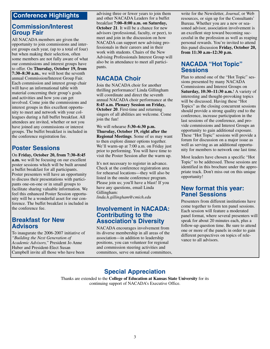## **Conference Highlights**

## **Commission/Interest Group Fair**

All NACADA members are given the opportunity to join commissions and interest groups each year, (up to a total of four) but when making their selection, often some members are not fully aware of what our commissions and interest groups have to offer. On **Thursday, October 19, from 7:30–8:30 a.m.**, we will host the seventh annual Commission/Interest Group Fair. Each commission and interest group chair will have an informational table with material concerning their group's goals and activities and how you can get involved. Come join the commissions and interest groups in this excellent opportunity to meet and network with your colleagues during a full buffet breakfast. All attendees are invited, whether or not you have joined any commissions or interest groups. The buffet breakfast is included in the conference registration fee.

# **Poster Sessions**

On **Friday, October 20, from 7:30–8:45 a.m.** we will be focusing on our excellent poster sessions which will be built around a buffet breakfast for all participants. Poster presenters will have an opportunity to discuss their presentations with participants one-on-one or in small groups to facilitate sharing valuable information. We feel this enhanced Poster Session opportunity will be a wonderful asset for our conference. The buffet breakfast is included in the conference fee.

## **Breakfast for New Advisors**

To inaugurate the 2006-2007 initiative of *"Building the Next Generation of Academic Advisors,"* President Jo Anne Huber and President-Elect Susan Campbell invite all those who have been

advising three or fewer years to join them and other NACADA Leaders for a buffet breakfast **7:00–8:00 a.m. on Saturday, October 21**. It will be a chance for new advisors (professional, faculty, or peer), to meet and join in the discussion on how NACADA can support new advising professionals in their careers and in their work with students. Chairs of the New Advising Professionals Interest Group will also be in attendance to meet all participants.

# **NACADA Choir**

Join the NACADA choir for another thrilling performance! Linda Gillingham will coordinate and direct the seventh annual NACADA choir performance at the **8:45 a.m. Plenary Session on Friday, October 20**. First-time and returning singers of all abilities are welcome. Come join the fun!

We will rehearse **5:30–6:30 p.m. Thursday, October 19, right after the Regional Meetings**. Some of us may want to then explore dinner options together. We'll warm-up at 7:00 a.m. on Friday just prior to performing. You will have time to visit the Poster Session after the warm up.

It's not necessary to register in advance. Check at the conference registration area for rehearsal locations—they will also be listed in the onsite conference program. Please join us; you'll have a blast! If you have any questions, email Linda Gillingham:

*linda.h.gillingham@cmich.edu*

## **Involvement in NACADA: Contributing to the Association's Diversity**

NACADA encourages involvement from its diverse membership in all areas of the association—in addition to leadership positions, you can volunteer for regional and commission steering activities and committees, serve on national committees,

write for the Newsletter, *Journal*, or Web resources, or sign up for the Consultants' Bureau. Whether you are a new or seasoned advisor, association involvement is an excellent step toward becoming successful in the profession as well as reaping personal rewards. You're invited to attend this panel discussion **Friday, October 20, from 11:30 a.m–12:30 p.m.**

## **NACADA "Hot Topic" Sessions**

Plan to attend one of the "Hot Topic" sessions presented by many NACADA Commissions and Interest Groups on **Saturday, 10:30–11:30 a.m.**! A variety of interesting and thought-provoking topics will be discussed. Having these "Hot Topics" as the closing concurrent sessions should provide a strong quality end to the conference, increase participation in the last sessions of the conference, and provide commissions and Interest Groups an opportunity to gain additional exposure. These "Hot Topic" sessions will provide a forum for discussion on a major issue as well as serving as an additional opportunity for members to network one last time.

Most leaders have chosen a specific "Hot Topic" to be addressed. Those sessions are identified in this brochure under the appropriate track. Don't miss out on this unique opportunity!

## **New format this year: Panel Sessions**

Presenters from different institutions have come together to form ten panel sessions. Each session will feature a moderated panel format, where several presenters will speak for about 20 minutes each, plus a follow-up question time. Be sure to attend one or more of the panels in order to gain different perspectives on topics of relevance to all advisors.

# **Special Appreciation**

Thanks are extended to the **College of Education at Kansas State University** for its continuing support of NACADA's Executive Office.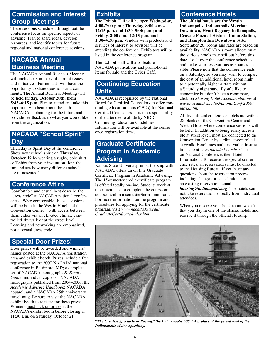# **Commission and Interest Group Meetings**

These sessions scheduled through out the conference focus on specific aspects of advising. Plan to share ideas, develop resources, and identify topics for future regional and national conference sessions.

# **NACADA Annual Business Meeting**

The NACADA Annual Business Meeting will include a summary of current issues and initiatives. Participants will have the opportunity to share questions and comments. The Annual Business Meeting will be held **Friday, October 20th, from 5:45–6:15 p.m.** Plan to attend and take this opportunity to hear about the path NACADA is planning for the future and provide feedback as to what you would like from the organization.

# **NACADA "School Spirit" Day**

Thursday is Spirit Day at the conference. Show your school spirit on **Thursday, October 19** by wearing a rugby, polo shirt or T-shirt from your institution. Join the fun and see how many different schools are represented!

## **Conference Attire**

Comfortable and casual best describe the "dress code" at NACADA national conferences. Wear comfortable shoes—sessions will be both in the Westin Hotel and the Convention Center—with access between them either via an elevated climate controlled skywalk or at the street level. Learning and networking are emphasized, not a formal dress code.

## **Special Door Prizes!**

Door prizes will be awarded and winners' names posted at the NACADA registration area and exhibit booth. Prizes include a free registration to the 2007 NACADA national conference in Baltimore, MD; a complete set of NACADA monographs & *Family Guide*; individual copies of NACADA monographs published from 2004–2006; the *Academic Advising Handbook*; NACADA apparel; and a NACADA 25th anniversary travel mug. Be sure to visit the NACADA exhibit booth to register for these prizes. Winners must pick up prizes at the NACADA exhibit booth before closing at 11:30 a.m. on Saturday, October 21.

# **Exhibits**

The Exhibit Hall will be open **Wednesday, 4:00-7:00 p.m.; Thursday, 8:00 a.m.– 12:15 p.m. and 1:30–5:00 p.m.; and Friday, 8:00 a.m.–12:15 p.m. and 1:30–4:30 p.m.** Vendors with products and services of interest to advisors will be attending the conference. Exhibitors will be listed in the conference program.

The Exhibit Hall will also feature NACADA publications and promotional items for sale and the Cyber Café.

# **Continuing Education Units**

NACADA is recognized by the National Board for Certified Counselors to offer continuing education units (CEUs) for National Certified Counselors. It is the responsibility of the attendee to abide by NBCC Continuing Education Guidelines. Information will be available at the conference registration desk.

# **Graduate Certificate Program in Academic Advising**

Kansas State University, in partnership with NACADA, offers an on-line Graduate Certificate Program in Academic Advising. The 15-semester credit certificate program is offered totally on-line. Students work at their own pace to complete the course or courses within a semester/term time frame. For more information on the program and procedures for applying for the certificate program, visit *www.nacada.ksu.edu/ GraduateCertificate/index.htm*.

# **Conference Hotels**

**The official hotels are the Westin Indianapolis, Indianapolis Marriott Downtown, Hyatt Regency Indianapolis, Crowne Plaza at Historic Union Station, and Hampton Inn Downtown.** After September 26, rooms and rates are based on availability. NACADA's room allocation at the various hotels may sell out before this date. Look over the conference schedule and make your reservations as soon as possible. Please note that the conference ends on a Saturday, so you may want to compare the cost of an additional hotel room night to a potentially higher airfare without a Saturday night stay. If you'd like to economize but don't have a roommate, click on *Sharing Hotel Accommodations* at *www.nacada.ksu.edu/NationalConf/2006/ index.htm*.

All five official conference hotels are within 21 ⁄2 blocks of the Convention Center and Westin Hotel where conference sessions will be held. In addition to being easily accessible at street level, most are connected to the Convention Center by a climate-controlled skywalk. Hotel rates and reservation instructions are at *www.nacada.ksu.edu*. Click on National Conference, then Hotel Information. To receive the special conference rates, all reservations must be directed to the Housing Bureau. If you have any questions about the reservation process, including changes or cancellations for an existing reservation, email *housing@indianapolis.org*. The hotels cannot take reservations directly from individual attendees.

When you reserve your hotel room, we ask that you stay in one of the official hotels and reserve it through the official Housing



*"The Greatest Spectacle in Racing," the Indianapolis 500, takes place at the famed oval of the Indianapolis Motor Speedway.*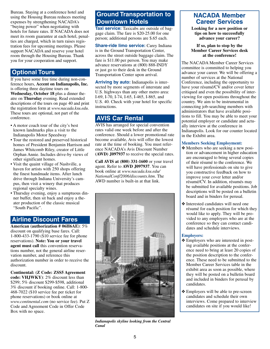Bureau. Staying at a conference hotel and using the Housing Bureau reduces meeting expenses by strengthening NACADA's "buying power" when negotiating with hotels for future rates. If NACADA does not meet its room guarantee at each hotel, penalties are charged, which in turn raises registration fees for upcoming meetings. Please support NACADA and reserve your hotel room through the Housing Bureau. Thank you for your cooperation and support.

# **Optional Tours**

If you have some free time during non-conference hours, **Accent on Indianapolis, Inc.** is offering three daytime tours on **Wednesday, October 18** plus a dinner theatre on **Thursday** evening. Read extended descriptions of the tours on page 40 and print the registration form at *www.nacada.ksu.edu*. These tours are optional, not part of the conference.

- A motor coach tour of the city's best known landmarks plus a visit to the Indianapolis Motor Speedway
- Tour the restored and preserved historical homes of President Benjamin Harrison and James Whitcomb Riley, creator of Little Orphan Annie. Includes drive-by views of other significant homes.
- Visit the quaint village of Nashville, a haven for artists with 250 shops offering the finest handmade items. After lunch drive through Indiana University's campus, then visit a winery that produces regional specialty wines.
- Thursday evening, enjoy a sumptuous dinner buffet, then sit back and enjoy a theater production of the classic musical "South Pacific".

## **Airline Discount Fares**

**American (authorization # 06H6AE)**: 5% discount on qualifying base fares. Call: 1-800-433-1790 (\$10 service fee for phone reservations). **Note: You or your travel agent must call** this convention reservations number, not the general airline reservation number, and reference this authorization number in order to receive the discount.

**Continental: (Z Code: ZSS5 Agreement code: VHJWKY)**: 2% discount less than \$299; 5% discount \$299-\$598, additional 3% discount if booking online. Call: 1-800- 468-7022 (\$10 service fee per ticket for phone reservations) or book online at *www.continental.com* (no service fee). Put Z Code and Agreement Code in Offer Code Box with no space.

# **Ground Transportation to Downtown Hotels**

**Taxi service:** Taxicabs are outside of baggage claim. The fare is \$20-25.00 for one person; additional persons are \$.65 each.

**Share-ride limo service:** Carey Indiana is in the Ground Transportation Center, across the street outside baggage claim. The fare is \$11.00 per person. You may make advance reservations at (800) 888-INDY or just go to their desk in the Ground Transportation Center upon arrival.

**Arriving by auto:** Indianapolis is intersected by more segments of interstate and U.S. highways than any other metro area: I-69, I-70, I-74, I-65, I-465, I-865, and U.S. 40. Check with your hotel for specific instructions.

# **AVIS Car Rental**

AVIS has arranged for special convention rates valid one week before and after the conference. Should a lower promotional rate become available, Avis will offer the lowest rate at the time of booking. You must reference NACADA's Avis Discount Number **(AWD) J097937** to receive the special rates.

**Call AVIS at (800) 331-1600** or your travel agent. Refer to **AWD J097937**. You can book online at *www.nacada.ksu.edu/ NationalConf/2006/discounts.htm*. The AWD number is built-in at that link.



*Indianapolis skyline looking from the Central Canal*

## **NACADA Member Career Services**

**Looking for a new position or tips on how to successfully advance your career?**

**If so, plan to stop by the Member Career Services desk at the conference!**

The NACADA Member Career Services committee is committed to helping you advance your career. We will be offering a number of services at the National Conference, including the opportunity to have your résumé/CV and/or cover letter critiqued and even the possibility of interviewing for open positions throughout the country. We aim to be instrumental in connecting job-searching members with administrators that have available positions to fill. You may be able to meet your potential employer or candidate and actually interview at the conference in Indianapolis. Look for our counter located in the Exhibit area.

#### **Members Seeking Employment:**

- ❖ Members who are seeking a new position or advancement in higher education are encouraged to bring several copies of their résumé to the conference. We will have professionals on site to give you constructive feedback on how to improve your cover letter and/or résumé/CV. In addition, résumés may be submitted for available positions. Job descriptions will be posted on a bulletin board and in binders for perusal.
- ❖ Interested candidates will need one résumé for each position for which they would like to apply. They will be provided to any employers who are at the conference so they can contact candidates and schedule interviews.

#### **Employers:**

- ❖ Employers who are interested in posting available positions at the conference need to bring at least 20 copies of the position description to the conference. These need to be submitted to the Member Career Services table in the exhibit area as soon as possible, where they will be posted on a bulletin board and included in binders for perusal by candidates.
- ❖ Employers will be able to pre-screen candidates and schedule their own interviews. Come prepared to interview candidates on site if you would like!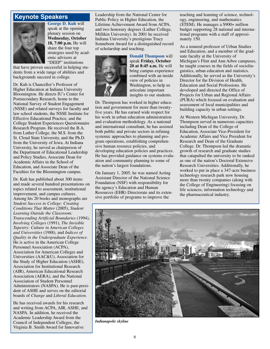## **Keynote Speakers**



**George D. Kuh** will speak at the opening plenary session on **Wednesday, October 18, 7:00 p.m.** He will share the four top strategies used by academic advisors at "DEEP" institutions

that have proven successful in helping students from a wide range of abilities and backgrounds succeed in college.

Dr. Kuh is Chancellor's Professor of Higher Education at Indiana University Bloomington. He directs IU's Center for Postsecondary Research, home to the National Survey of Student Engagement (NSSE) and related surveys for faculty and law school students, the NSSE Institute for Effective Educational Practice, and the College Student Experiences Questionnaire Research Program. He received the B.A. from Luther College, the M.S. from the St. Cloud State University, and the Ph.D. from the University of Iowa. At Indiana University, he served as chairperson of the Department of Educational Leadership and Policy Studies, Associate Dean for Academic Affairs in the School of Education, and Associate Dean of the Faculties for the Bloomington campus.

Dr. Kuh has published about 300 items and made several hundred presentations on topics related to assessment, institutional improvement, and campus cultures. Among his 20 books and monographs are *Student Success in College: Creating Conditions That Matter* (2005), *Student Learning Outside the Classroom: Transcending Artificial Boundaries* (1994), *Involving Colleges* (1991), *The Invisible Tapestry: Culture in American Colleges and Universities* (1988), and *Indices of Quality in the Undergraduate Experience*. He is active in the American College Personnel Association (ACPA), Association for American Colleges and Universities (AAC&U), Association for the Study of Higher Education (ASHE), Association for Institutional Research (AIR), American Educational Research Association (AERA), and the National Association of Student Personnel Administrators (NASPA). He is past-president of ASHE and serves on the editorial boards of *Change* and *Liberal Education*.

He has received awards for his research and writing from ACPA, AIR, ASHE, and NASPA. In addition, he received the Academic Leadership Award from the Council of Independent Colleges, the Virginia B. Smith Award for Innovative

Leadership from the National Center for Public Policy in Higher Education, the Lifetime Achievement Award from ACPA, and two honorary degrees (Luther College, Millikin University). In 2001 he received Indiana University's prestigious Tracy Sonneborn Award for a distinguished record of scholarship and teaching.



**Donald Thompson** will speak **Friday, October 20 at 8:45 a.m.** He will bring campus experience combined with an inside view of policies in Washington, to help us articulate important insights to our students.

Dr. Thompson has worked in higher education and government for more than twentyfive years. He has earned wide respect for his work in urban education administration and evaluation methodology. As a national and international consultant, he has assisted both public and private sectors in refining systemic approaches to planning and program operations, establishing comprehensive human resource policies, and developing education policies and practices. He has provided guidance on systems evaluation and community planning to some of the nation's largest foundations.

On January 1, 2005, he was named Acting Assistant Director of the National Science Foundation (NSF) with responsibility for the agency's Education and Human Resources (EHR) Directorate and its extensive portfolio of programs to improve the

teaching and learning of science, technology, engineering, and mathematics (STEM). He manages a \$900+ million budget supporting 28 national and international programs with a staff of approximately 150.

As a tenured professor of Urban Studies and Education, and a member of the graduate faculty at the University of Michigan's Flint and Ann Arbor campuses, he taught courses in the fields of sociolinguistics, urban education and statistics. Additionally, he served as the University's Director for the Division of Health, Education and Social Professions. He developed and directed the Office of Projects for Urban and Regional Affairs (PURA) which focused on evaluation and assessment of local municipalities and building capacity in urban settings.

At Western Michigan University, Dr. Thompson served in numerous capacities including Dean of the College of Education, Associate Vice-President for Academic Affairs and Vice President for Research and Dean of the Graduate College. Dr. Thompson led the dramatic growth of research and graduate studies that catapulted the university to be ranked as one of the nation's Doctoral Extensive Research Universities. Additionally, he worked to put in place a 347-acre business technology research park now housing more than twenty companies (along with the College of Engineering) focusing on life sciences, information technology and the pharmaceutical industry.



*Indianapolis skyline*